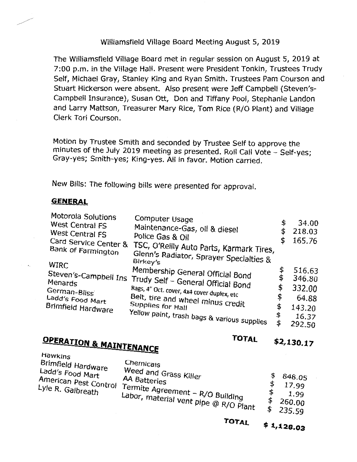### Williamsfield Village Board Meeting August 5, 2019

The Williamsfield Village Board met in regular session on August 5, 2019 at 7:00 p.m. in the Village Hall. Present were President Tonkin, Trustees Trudy Self, Michael Gray, Stanley King and Ryan Smith. Trustees Pam Courson and Stuart Hickerson were absent. Also present were Jeff Campbell (Steven's-Campbell Insurance), Susan Ott, Don and Tiffany Pool, Stephanie Landon and Larry Mattson, Treasurer Mary Rice, Tom Rice (R/0 Plant) and Village Clerk Tori Courson.

Motion by Trustee Smith and seconded by Trustee Self to approve the minutes of the July 2019 meeting as presented. Roll Call Vote - Self-yes; Gray-yes; Smith-yes; King-yes. All in favor. Motion carried.

New Bills: The following bills were presented for approval.

### **GENERAL**

| Motorola Solutions<br>West Central FS<br>West Central FS<br>Card Service Center &<br>Bank of Farmington | Computer Usage<br>Maintenance-Gas, oil & diesel<br>Police Gas & Oil<br>TSC, O'Reilly Auto Parts, Karmark Tires,<br>Glenn's Radiator, Sprayer Specialties &<br>Birkey's | \$<br>34.00<br>218.03<br>165.76 |
|---------------------------------------------------------------------------------------------------------|------------------------------------------------------------------------------------------------------------------------------------------------------------------------|---------------------------------|
| WIRC                                                                                                    | Membership General Official Bond                                                                                                                                       | \$<br>516.63                    |
|                                                                                                         | Steven's-Campbell Ins Trudy Self - General Official Bond                                                                                                               | \$<br>346.80                    |
| German-Bliss                                                                                            | Rags, 4" Oct. cover, 4x4 cover duplex, etc                                                                                                                             | \$<br>332.00                    |
| Ladd's Food Mart                                                                                        | Belt, tire and wheel minus credit                                                                                                                                      | \$<br>64.88                     |
| Brimfield Hardware                                                                                      | Supplies for Hall                                                                                                                                                      | \$<br>143.20                    |
|                                                                                                         | Yellow paint, trash bags & various supplies                                                                                                                            | \$<br>16.37                     |
|                                                                                                         |                                                                                                                                                                        | \$<br>292.50                    |

## **OPERATION & MAINTENANCE 101AL** \$2,130.17 Hawkins **and the service**

| Brimfield Hardware<br>Ladd's Food Mart<br>American Pest Control -<br>Lyle R. Galbreath | Chemicals<br>Weed and Grass Killer<br><b>AA Batteries</b><br>. Termite Agreement – R/O Building<br>Labor, material vent pipe @ R/O Plant |  | 848.05<br>17.99<br>1.99<br>260.00<br>235.59 |
|----------------------------------------------------------------------------------------|------------------------------------------------------------------------------------------------------------------------------------------|--|---------------------------------------------|
|----------------------------------------------------------------------------------------|------------------------------------------------------------------------------------------------------------------------------------------|--|---------------------------------------------|

**TOTAL**   $$1,128.03$ 

# **TOTAL**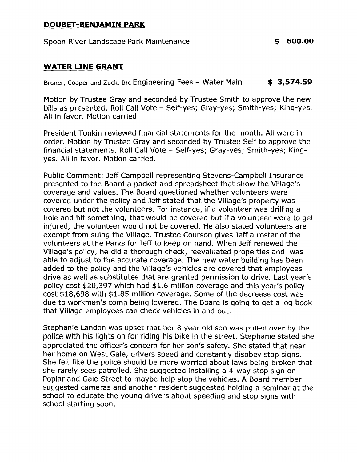#### **DOUBET-BENJAMIN PARK**

Spoon River Landscape Park Maintenance **\$ 600.00** 

### WATER LINE GRANT

Bruner, Cooper and Zuck, Inc Engineering Fees - Water Main  $\bullet$  **[3,574.59](https://3,574.59)** 

Motion by Trustee Gray and seconded by Trustee Smith to approve the new bills as presented. Roll Call Vote - Self-yes; Gray-yes; Smith-yes; King-yes. All in favor. Motion carried.

President Tonkin reviewed financial statements for the month. All were in order. Motion by Trustee Gray and seconded by Trustee Self to approve the financial statements. Roll Call Vote - Self-yes; Gray-yes; Smith-yes; Kingyes. All in favor. Motion carried.

Public Comment: Jeff Campbell representing Stevens-Campbell Insurance presented to the Board a packet and spreadsheet that show the Village's coverage and values. The Board questioned whether volunteers were covered under the policy and Jeff stated that the Village's property was covered but not the volunteers. For instance, if a volunteer was drilling a hole and hit something, that would be covered but if a volunteer were to get injured, the volunteer would not be covered. He also stated volunteers are exempt from suing the Village. Trustee Courson gives Jeff a roster of the volunteers at the Parks for Jeff to keep on hand. When Jeff renewed the Village's policy, he did a thorough check, reevaluated properties and was able to adjust to the accurate coverage. The new water building has been added to the policy and the Village's vehicles are covered that employees drive as well as substitutes that are granted permission to drive. Last year's policy cost  $$20,397$  which had  $$1.6$  million coverage and this year's policy cost \$18,698 with \$1.85 million coverage. Some of the decrease cost was due to workman's comp being lowered. The Board is going to get a log book that Village employees can check vehicles in and out.

Stephanie Landon was upset that her 8 year old son was pulled over by the police with his lights on for riding his bike in the street. Stephanie stated she appreciated the officer's concern for her son's safety. She stated that near her home on West Gale, drivers speed and constantly disobey stop signs. She felt like the police should be more worried about laws being broken that she rarely sees patrolled. She suggested installing a 4-way stop sign on Poplar and Gale Street to maybe help stop the vehicles. A Board member suggested cameras and another resident suggested holding a seminar at the school to educate the young drivers about speeding and stop signs with school starting soon.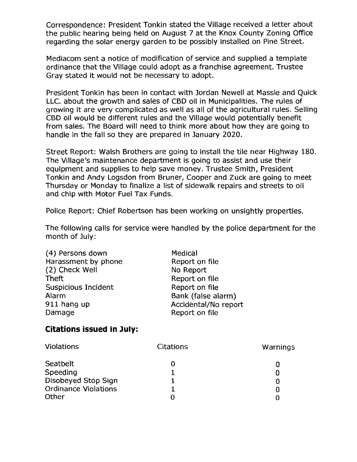Correspondence: President Tonkin stated the Village received a letter about the public hearing being held on August 7 at the Knox County Zoning Office regarding the solar energy garden to be possibly installed on Pine Street.

Mediacom sent a notice of modification of service and supplied a template ordinance that the Village could adopt as a franchise agreement. Trustee Gray stated it would not be necessary to adopt.

President Tonkin has been in contact with Jordan Newell at Massie and Quick LLC. about the growth and sales of CBD oil in Municipalities. The rules of growing it are very complicated as well as all of the agricultural rules. Selling CBD oil would be different rules and the Village would potentially benefit from sales. The Board will need to think more about how they are going to handle in the fall so they are prepared in January 2020.

Street Report: Walsh Brothers are going to install the tile near Highway 180. The Village's maintenance department is going to assist and use their equipment and supplies to help save money. Trustee Smith, President Tonkin and Andy Logsdon from Bruner, Cooper and Zuck are going to meet Thursday or Monday to finalize a list of sidewalk repairs and streets to oil and chip with Motor Fuel Tax Funds.

Police Report: Chief Robertson has been working on unsightly properties.

The following calls for service were handled by the police department for the month of July:

| (4) Persons down    | Medical              |
|---------------------|----------------------|
| Harassment by phone | Report on file       |
| (2) Check Well      | No Report            |
| <b>Theft</b>        | Report on file       |
| Suspicious Incident | Report on file       |
| Alarm               | Bank (false alarm)   |
| 911 hang up         | Accidental/No report |
| Damage              | Report on file       |

### **Citations issued in July:**

| Violations                  | Citations | Warnings |
|-----------------------------|-----------|----------|
| Seatbelt                    |           |          |
| Speeding                    |           |          |
| Disobeyed Stop Sign         |           |          |
| <b>Ordinance Violations</b> |           |          |
| Other                       |           |          |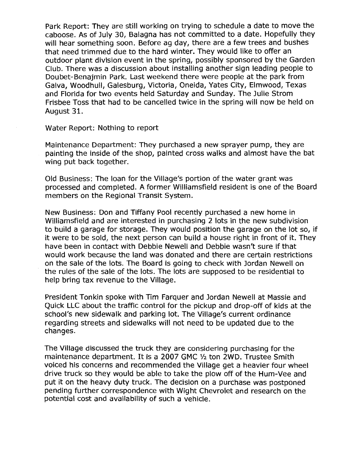Park Report: They are still working on trying to schedule a date to move the caboose. As of July 30, Balagna has not committed to a date. Hopefully they will hear something soon. Before ag day, there are a few trees and bushes that need trimmed due to the hard winter. They would like to offer an outdoor plant division event in the spring, possibly sponsored by the Garden Club. There was a discussion about installing another sign leading people to Doubet-Benajmin Park. Last weekend there were people at the park from Galva, Woodhull, Galesburg, Victoria, Oneida, Yates City, Elmwood, Texas and Florida for two events held Saturday and Sunday. The Julie Strom Frisbee Toss that had to be cancelled twice in the spring will now be held on August 31.

Water Report: Nothing to report

Maintenance Department: They purchased a new sprayer pump, they are painting the inside of the shop, painted cross walks and almost have the bat wing put back together.

Old Business: The loan for the Village's portion of the water grant was processed and completed. A former Williamsfield resident is one of the Board members on the Regional Transit System.

New Business: Don and Tiffany Pool recently purchased a new home in Williamsfield and are interested in purchasing 2 lots in the new subdivision to build a garage for storage. They would position the garage on the lot so, if it were to be sold, the next person can build a house right in front of it. They have been in contact with Debbie Newell and Debbie wasn't sure if that would work because the land was donated and there are certain restrictions on the sale of the lots. The Board is going to check with Jordan Newell on the rules of the sale of the lots. The lots are supposed to be residential to help bring tax revenue to the Village.

President Tonkin spoke with Tim Farquer and Jordan Newell at Massie and Quick LLC about the traffic control for the pickup and drop-off of kids at the school's new sidewalk and parking lot. The Village's current ordinance regarding streets and sidewalks will not need to be updated due to the changes.

The Village discussed the truck they are considering purchasing for the maintenance department. It is a 2007 GMC ½ ton 2WD. Trustee Smith voiced his concerns and recommended the Village get a heavier four wheel drive truck so they would be able to take the plow off of the Hum-Vee and put it on the heavy duty truck. The decision on a purchase was postponed pending further correspondence with Wight Chevrolet and research on the potential cost and availability of such a vehicle.